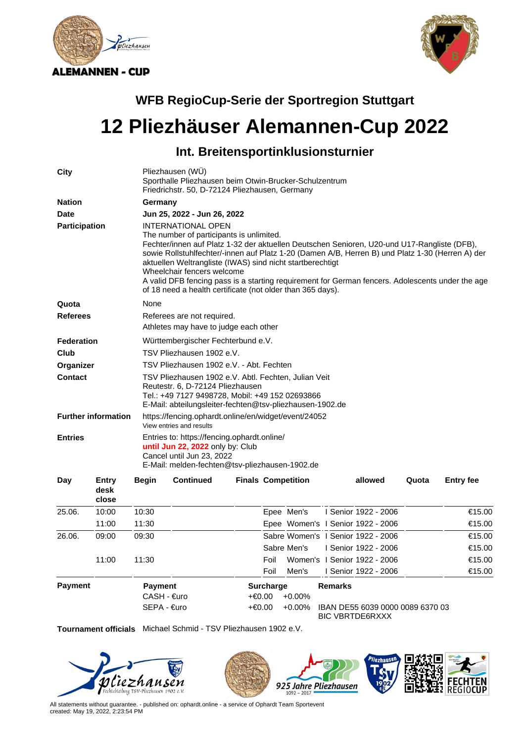



## **WFB RegioCup-Serie der Sportregion Stuttgart**

## **12 Pliezhäuser Alemannen-Cup 2022**

## **Int. Breitensportinklusionsturnier**

| City                       |                        |                                                                                                                                                                                                         | Pliezhausen (WU)<br>Sporthalle Pliezhausen beim Otwin-Brucker-Schulzentrum<br>Friedrichstr. 50, D-72124 Pliezhausen, Germany                                                                                                                                                                                                                                                                                                                                                                                                          |      |                                                              |                |                                                            |       |                  |  |  |
|----------------------------|------------------------|---------------------------------------------------------------------------------------------------------------------------------------------------------------------------------------------------------|---------------------------------------------------------------------------------------------------------------------------------------------------------------------------------------------------------------------------------------------------------------------------------------------------------------------------------------------------------------------------------------------------------------------------------------------------------------------------------------------------------------------------------------|------|--------------------------------------------------------------|----------------|------------------------------------------------------------|-------|------------------|--|--|
| <b>Nation</b>              |                        |                                                                                                                                                                                                         | Germany                                                                                                                                                                                                                                                                                                                                                                                                                                                                                                                               |      |                                                              |                |                                                            |       |                  |  |  |
| <b>Date</b>                |                        |                                                                                                                                                                                                         | Jun 25, 2022 - Jun 26, 2022                                                                                                                                                                                                                                                                                                                                                                                                                                                                                                           |      |                                                              |                |                                                            |       |                  |  |  |
| Participation              |                        |                                                                                                                                                                                                         | <b>INTERNATIONAL OPEN</b><br>The number of participants is unlimited.<br>Fechter/innen auf Platz 1-32 der aktuellen Deutschen Senioren, U20-und U17-Rangliste (DFB),<br>sowie Rollstuhlfechter/-innen auf Platz 1-20 (Damen A/B, Herren B) und Platz 1-30 (Herren A) der<br>aktuellen Weltrangliste (IWAS) sind nicht startberechtigt<br>Wheelchair fencers welcome<br>A valid DFB fencing pass is a starting requirement for German fencers. Adolescents under the age<br>of 18 need a health certificate (not older than 365 days). |      |                                                              |                |                                                            |       |                  |  |  |
| Quota                      |                        | None                                                                                                                                                                                                    |                                                                                                                                                                                                                                                                                                                                                                                                                                                                                                                                       |      |                                                              |                |                                                            |       |                  |  |  |
| <b>Referees</b>            |                        |                                                                                                                                                                                                         | Referees are not required.                                                                                                                                                                                                                                                                                                                                                                                                                                                                                                            |      |                                                              |                |                                                            |       |                  |  |  |
|                            |                        |                                                                                                                                                                                                         | Athletes may have to judge each other                                                                                                                                                                                                                                                                                                                                                                                                                                                                                                 |      |                                                              |                |                                                            |       |                  |  |  |
| <b>Federation</b>          |                        |                                                                                                                                                                                                         | Württembergischer Fechterbund e.V.                                                                                                                                                                                                                                                                                                                                                                                                                                                                                                    |      |                                                              |                |                                                            |       |                  |  |  |
| Club                       |                        |                                                                                                                                                                                                         | TSV Pliezhausen 1902 e.V.                                                                                                                                                                                                                                                                                                                                                                                                                                                                                                             |      |                                                              |                |                                                            |       |                  |  |  |
| Organizer                  |                        |                                                                                                                                                                                                         | TSV Pliezhausen 1902 e.V. - Abt. Fechten                                                                                                                                                                                                                                                                                                                                                                                                                                                                                              |      |                                                              |                |                                                            |       |                  |  |  |
| <b>Contact</b>             |                        | TSV Pliezhausen 1902 e.V. Abtl. Fechten, Julian Veit<br>Reutestr. 6, D-72124 Pliezhausen<br>Tel.: +49 7127 9498728, Mobil: +49 152 02693866<br>E-Mail: abteilungsleiter-fechten@tsv-pliezhausen-1902.de |                                                                                                                                                                                                                                                                                                                                                                                                                                                                                                                                       |      |                                                              |                |                                                            |       |                  |  |  |
| <b>Further information</b> |                        |                                                                                                                                                                                                         | https://fencing.ophardt.online/en/widget/event/24052<br>View entries and results                                                                                                                                                                                                                                                                                                                                                                                                                                                      |      |                                                              |                |                                                            |       |                  |  |  |
| <b>Entries</b>             |                        |                                                                                                                                                                                                         | Entries to: https://fencing.ophardt.online/<br>until Jun 22, 2022 only by: Club<br>Cancel until Jun 23, 2022<br>E-Mail: melden-fechten@tsv-pliezhausen-1902.de                                                                                                                                                                                                                                                                                                                                                                        |      |                                                              |                |                                                            |       |                  |  |  |
| Day                        | Entry<br>desk<br>close | <b>Begin</b>                                                                                                                                                                                            | <b>Continued</b>                                                                                                                                                                                                                                                                                                                                                                                                                                                                                                                      |      | <b>Finals Competition</b>                                    |                | allowed                                                    | Quota | <b>Entry fee</b> |  |  |
| 25.06.                     | 10:00                  | 10:30                                                                                                                                                                                                   |                                                                                                                                                                                                                                                                                                                                                                                                                                                                                                                                       |      | Epee Men's                                                   |                | I Senior 1922 - 2006                                       |       | €15.00           |  |  |
|                            | 11:00                  | 11:30                                                                                                                                                                                                   |                                                                                                                                                                                                                                                                                                                                                                                                                                                                                                                                       |      | Epee Women's I Senior 1922 - 2006                            |                |                                                            |       | €15.00           |  |  |
| 26.06.                     | 09:00                  | 09:30                                                                                                                                                                                                   |                                                                                                                                                                                                                                                                                                                                                                                                                                                                                                                                       |      | Sabre Women's   Senior 1922 - 2006                           |                |                                                            |       | €15.00           |  |  |
|                            |                        |                                                                                                                                                                                                         |                                                                                                                                                                                                                                                                                                                                                                                                                                                                                                                                       |      | Sabre Men's                                                  |                | I Senior 1922 - 2006                                       |       | €15.00           |  |  |
|                            | 11:00                  | 11:30                                                                                                                                                                                                   |                                                                                                                                                                                                                                                                                                                                                                                                                                                                                                                                       | Foil |                                                              |                | Women's   Senior 1922 - 2006                               |       | €15.00           |  |  |
|                            |                        |                                                                                                                                                                                                         |                                                                                                                                                                                                                                                                                                                                                                                                                                                                                                                                       | Foil | Men's                                                        |                | I Senior 1922 - 2006                                       |       | €15.00           |  |  |
| <b>Payment</b>             |                        |                                                                                                                                                                                                         | <b>Payment</b><br>CASH - €uro<br>SEPA - €uro                                                                                                                                                                                                                                                                                                                                                                                                                                                                                          |      | <b>Surcharge</b><br>+€0.00<br>$+0.00%$<br>+€0.00<br>$+0.00%$ | <b>Remarks</b> | IBAN DE55 6039 0000 0089 6370 03<br><b>BIC VBRTDE6RXXX</b> |       |                  |  |  |

**Tournament officials** Michael Schmid - TSV Pliezhausen 1902 e.V.



All statements without guarantee. - published on: ophardt.online - a service of Ophardt Team Sportevent created: May 19, 2022, 2:23:54 PM